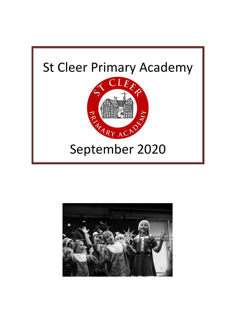

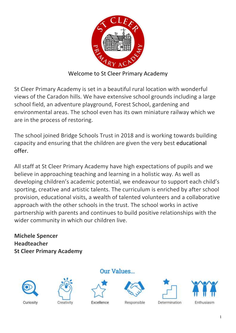

Welcome to St Cleer Primary Academy

St Cleer Primary Academy is set in a beautiful rural location with wonderful views of the Caradon hills. We have extensive school grounds including a large school field, an adventure playground, Forest School, gardening and environmental areas. The school even has its own miniature railway which we are in the process of restoring.

The school joined Bridge Schools Trust in 2018 and is working towards building capacity and ensuring that the children are given the very best educational offer.

All staff at St Cleer Primary Academy have high expectations of pupils and we believe in approaching teaching and learning in a holistic way. As well as developing children's academic potential, we endeavour to support each child's sporting, creative and artistic talents. The curriculum is enriched by after school provision, educational visits, a wealth of talented volunteers and a collaborative approach with the other schools in the trust. The school works in active partnership with parents and continues to build positive relationships with the wider community in which our children live.

**Michele Spencer Headteacher St Cleer Primary Academy**









Excellence



Responsible





Determination

1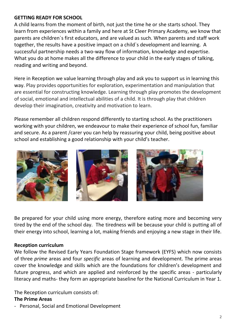#### **GETTING READY FOR SCHOOL**

A child learns from the moment of birth, not just the time he or she starts school. They learn from experiences within a family and here at St Cleer Primary Academy, we know that parents are children`s first educators, and are valued as such. When parents and staff work together, the results have a positive impact on a child`s development and learning. A successful partnership needs a two-way flow of information, knowledge and expertise. What you do at home makes all the difference to your child in the early stages of talking, reading and writing and beyond.

Here in Reception we value learning through play and ask you to support us in learning this way. Play provides opportunities for exploration, experimentation and manipulation that are essential for constructing knowledge. Learning through play promotes the development of social, emotional and intellectual abilities of a child. It is through play that children develop their imagination, creativity and motivation to learn.

Please remember all children respond differently to starting school. As the practitioners working with your children, we endeavour to make their experience of school fun, familiar and secure. As a parent /carer you can help by reassuring your child, being positive about school and establishing a good relationship with your child's teacher.



Be prepared for your child using more energy, therefore eating more and becoming very tired by the end of the school day. The tiredness will be because your child is putting all of their energy into school, learning a lot, making friends and enjoying a new stage in their life.

## **Reception curriculum**

We follow the Revised Early Years Foundation Stage framework (EYFS) which now consists of three *prime* areas and four *specific* areas of learning and development. The prime areas cover the knowledge and skills which are the foundations for children's development and future progress, and which are applied and reinforced by the specific areas - particularly literacy and maths- they form an appropriate baseline for the National Curriculum in Year 1.

The Reception curriculum consists of:

#### **The Prime Areas**

- Personal, Social and Emotional Development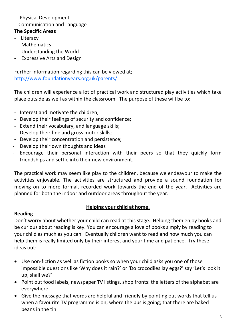- Physical Development
- Communication and Language

# **The Specific Areas**

- Literacy
- Mathematics
- Understanding the World
- Expressive Arts and Design

Further information regarding this can be viewed at; <http://www.foundationyears.org.uk/parents/>

The children will experience a lot of practical work and structured play activities which take place outside as well as within the classroom. The purpose of these will be to:

- Interest and motivate the children;
- Develop their feelings of security and confidence;
- Extend their vocabulary, and language skills;
- Develop their fine and gross motor skills;
- Develop their concentration and persistence;
- Develop their own thoughts and ideas
- Encourage their personal interaction with their peers so that they quickly form friendships and settle into their new environment.

The practical work may seem like play to the children, because we endeavour to make the activities enjoyable. The activities are structured and provide a sound foundation for moving on to more formal, recorded work towards the end of the year. Activities are planned for both the indoor and outdoor areas throughout the year.

## **Helping your child at home.**

## **Reading**

Don't worry about whether your child can read at this stage. Helping them enjoy books and be curious about reading is key. You can encourage a love of books simply by reading to your child as much as you can. Eventually children want to read and how much you can help them is really limited only by their interest and your time and patience. Try these ideas out:

- Use non-fiction as well as fiction books so when your child asks you one of those impossible questions like 'Why does it rain?' or 'Do crocodiles lay eggs?' say 'Let's look it up, shall we?'
- Point out food labels, newspaper TV listings, shop fronts: the letters of the alphabet are everywhere
- Give the message that words are helpful and friendly by pointing out words that tell us when a favourite TV programme is on; where the bus is going; that there are baked beans in the tin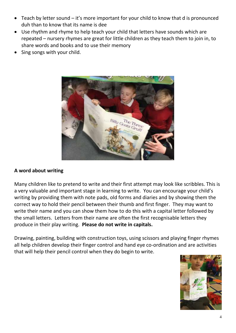- Teach by letter sound it's more important for your child to know that d is pronounced duh than to know that its name is dee
- Use rhythm and rhyme to help teach your child that letters have sounds which are repeated – nursery rhymes are great for little children as they teach them to join in, to share words and books and to use their memory
- Sing songs with your child.



#### **A word about writing**

Many children like to pretend to write and their first attempt may look like scribbles. This is a very valuable and important stage in learning to write. You can encourage your child's writing by providing them with note pads, old forms and diaries and by showing them the correct way to hold their pencil between their thumb and first finger. They may want to write their name and you can show them how to do this with a capital letter followed by the small letters. Letters from their name are often the first recognisable letters they produce in their play writing. **Please do not write in capitals.**

Drawing, painting, building with construction toys, using scissors and playing finger rhymes all help children develop their finger control and hand eye co-ordination and are activities that will help their pencil control when they do begin to write.

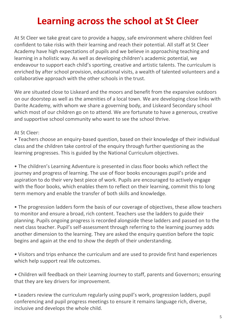# **Learning across the school at St Cleer**

At St Cleer we take great care to provide a happy, safe environment where children feel confident to take risks with their learning and reach their potential. All staff at St Cleer Academy have high expectations of pupils and we believe in approaching teaching and learning in a holistic way. As well as developing children's academic potential, we endeavour to support each child's sporting, creative and artistic talents. The curriculum is enriched by after school provision, educational visits, a wealth of talented volunteers and a collaborative approach with the other schools in the trust.

We are situated close to Liskeard and the moors and benefit from the expansive outdoors on our doorstep as well as the amenities of a local town. We are developing close links with Darite Academy, with whom we share a governing body, and Liskeard Secondary school which most of our children go on to attend. We are fortunate to have a generous, creative and supportive school community who want to see the school thrive.

At St Cleer:

• Teachers choose an enquiry-based question, based on their knowledge of their individual class and the children take control of the enquiry through further questioning as the learning progresses. This is guided by the National Curriculum objectives.

• The children's Learning Adventure is presented in class floor books which reflect the journey and progress of learning. The use of floor books encourages pupil's pride and aspiration to do their very best piece of work. Pupils are encouraged to actively engage with the floor books, which enables them to reflect on their learning, commit this to long term memory and enable the transfer of both skills and knowledge.

• The progression ladders form the basis of our coverage of objectives, these allow teachers to monitor and ensure a broad, rich content. Teachers use the ladders to guide their planning. Pupils ongoing progress is recorded alongside these ladders and passed on to the next class teacher. Pupil's self-assessment through referring to the learning journey adds another dimension to the learning. They are asked the enquiry question before the topic begins and again at the end to show the depth of their understanding.

• Visitors and trips enhance the curriculum and are used to provide first hand experiences which help support real life outcomes.

• Children will feedback on their Learning Journey to staff, parents and Governors; ensuring that they are key drivers for improvement.

• Leaders review the curriculum regularly using pupil's work, progression ladders, pupil conferencing and pupil progress meetings to ensure it remains language rich, diverse, inclusive and develops the whole child.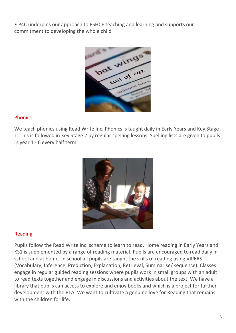• P4C underpins our approach to PSHCE teaching and learning and supports our commitment to developing the whole child



#### Phonics

We teach phonics using Read Write Inc. Phonics is taught daily in Early Years and Key Stage 1. This is followed in Key Stage 2 by regular spelling lessons. Spelling lists are given to pupils in year 1 - 6 every half term.



## Reading

Pupils follow the Read Write Inc. scheme to learn to read. Home reading in Early Years and KS1 is supplemented by a range of reading material. Pupils are encouraged to read daily in school and at home. In school all pupils are taught the skills of reading using VIPERS (Vocabulary, Inference, Prediction, Explanation, Retrieval, Summarise/ sequence). Classes engage in regular guided reading sessions where pupils work in small groups with an adult to read texts together and engage in discussions and activities about the text. We have a library that pupils can access to explore and enjoy books and which is a project for further development with the PTA. We want to cultivate a genuine love for Reading that remains with the children for life.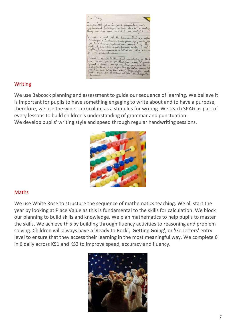

#### Writing

We use Babcock planning and assessment to guide our sequence of learning. We believe it is important for pupils to have something engaging to write about and to have a purpose; therefore, we use the wider curriculum as a stimulus for writing. We teach SPAG as part of every lessons to build children's understanding of grammar and punctuation. We develop pupils' writing style and speed through regular handwriting sessions.



## Maths

We use White Rose to structure the sequence of mathematics teaching. We all start the year by looking at Place Value as this is fundamental to the skills for calculation. We block our planning to build skills and knowledge. We plan mathematics to help pupils to master the skills. We achieve this by building through fluency activities to reasoning and problem solving. Children will always have a 'Ready to Rock', 'Getting Going', or 'Go Jetters' entry level to ensure that they access their learning in the most meaningful way. We complete 6 in 6 daily across KS1 and KS2 to improve speed, accuracy and fluency.

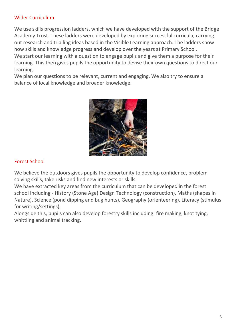#### Wider Curriculum

We use skills progression ladders, which we have developed with the support of the Bridge Academy Trust. These ladders were developed by exploring successful curricula, carrying out research and trialling ideas based in the Visible Learning approach. The ladders show how skills and knowledge progress and develop over the years at Primary School. We start our learning with a question to engage pupils and give them a purpose for their learning. This then gives pupils the opportunity to devise their own questions to direct our learning.

We plan our questions to be relevant, current and engaging. We also try to ensure a balance of local knowledge and broader knowledge.



## Forest School

We believe the outdoors gives pupils the opportunity to develop confidence, problem solving skills, take risks and find new interests or skills.

We have extracted key areas from the curriculum that can be developed in the forest school including - History (Stone Age) Design Technology (construction), Maths (shapes in Nature), Science (pond dipping and bug hunts), Geography (orienteering), Literacy (stimulus for writing/settings).

Alongside this, pupils can also develop forestry skills including: fire making, knot tying, whittling and animal tracking.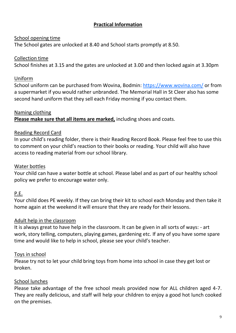# **Practical Information**

## School opening time

The School gates are unlocked at 8.40 and School starts promptly at 8.50.

## Collection time

School finishes at 3.15 and the gates are unlocked at 3.00 and then locked again at 3.30pm

## Uniform

School uniform can be purchased from Wovina, Bodmin:<https://www.wovina.com/> or from a supermarket if you would rather unbranded. The Memorial Hall in St Cleer also has some second hand uniform that they sell each Friday morning if you contact them.

# Naming clothing **Please make sure that all items are marked,** including shoes and coats.

## Reading Record Card

In your child's reading folder, there is their Reading Record Book. Please feel free to use this to comment on your child's reaction to their books or reading. Your child will also have access to reading material from our school library.

#### Water bottles

Your child can have a water bottle at school. Please label and as part of our healthy school policy we prefer to encourage water only.

## P.E.

Your child does PE weekly. If they can bring their kit to school each Monday and then take it home again at the weekend it will ensure that they are ready for their lessons.

## Adult help in the classroom

It is always great to have help in the classroom. It can be given in all sorts of ways: - art work, story telling, computers, playing games, gardening etc. If any of you have some spare time and would like to help in school, please see your child's teacher.

## Toys in school

Please try not to let your child bring toys from home into school in case they get lost or broken.

## School lunches

Please take advantage of the free school meals provided now for ALL children aged 4-7. They are really delicious, and staff will help your children to enjoy a good hot lunch cooked on the premises.